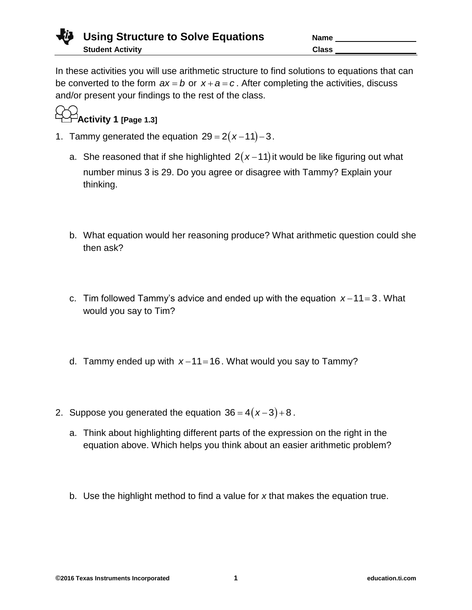

In these activities you will use arithmetic structure to find solutions to equations that can be converted to the form  $ax = b$  or  $x + a = c$ . After completing the activities, discuss and/or present your findings to the rest of the class.



- 1. Tammy generated the equation  $29 = 2(x-11)-3$ .
	- a. She reasoned that if she highlighted  $2(x-11)$  it would be like figuring out what number minus 3 is 29. Do you agree or disagree with Tammy? Explain your thinking.
	- b. What equation would her reasoning produce? What arithmetic question could she then ask?
	- c. Tim followed Tammy's advice and ended up with the equation  $x-11=3$ . What would you say to Tim?
	- d. Tammy ended up with  $x-11=16$ . What would you say to Tammy?
- 2. Suppose you generated the equation  $36 = 4(x-3)+8$ .
	- a. Think about highlighting different parts of the expression on the right in the equation above. Which helps you think about an easier arithmetic problem?
	- b. Use the highlight method to find a value for *x* that makes the equation true.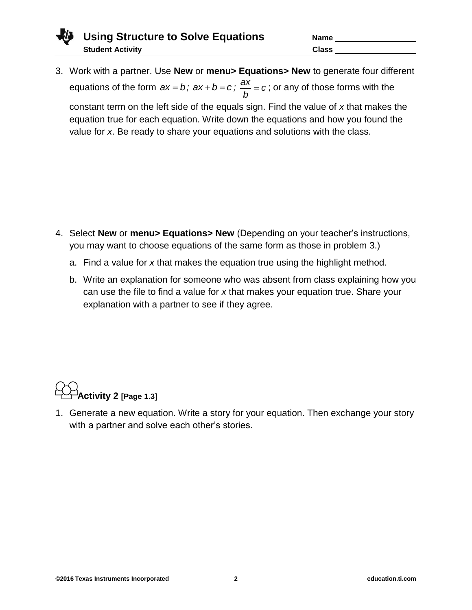3. Work with a partner. Use **New** or **menu> Equations> New** to generate four different equations of the form  $ax = b$ ;  $ax + b = c$ ;  $\frac{ax}{b} = c$ *b*  $= c$ ; or any of those forms with the

constant term on the left side of the equals sign. Find the value of *x* that makes the equation true for each equation. Write down the equations and how you found the value for *x*. Be ready to share your equations and solutions with the class.

- 4. Select **New** or **menu> Equations> New** (Depending on your teacher's instructions, you may want to choose equations of the same form as those in problem 3.)
	- a. Find a value for *x* that makes the equation true using the highlight method.
	- b. Write an explanation for someone who was absent from class explaining how you can use the file to find a value for *x* that makes your equation true. Share your explanation with a partner to see if they agree.



1. Generate a new equation. Write a story for your equation. Then exchange your story with a partner and solve each other's stories.